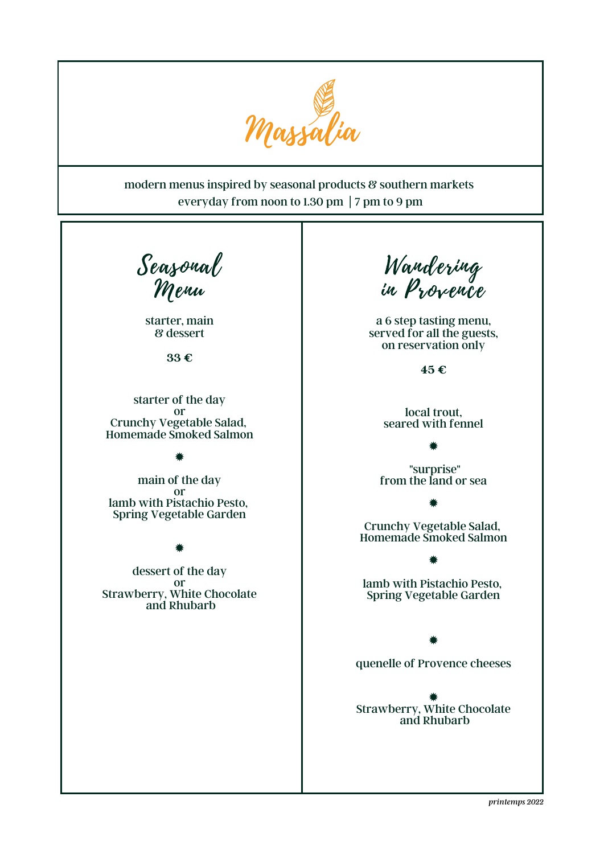

## modern menus inspired by seasonal products & southern markets everyday from noon to 1.30 pm | 7 pm to 9 pm

Seasonal Menu

starter, main & dessert

**33 €**

starter of the day or Crunchy Vegetable Salad, Homemade Smoked Salmon

✹

main of the day or lamb with Pistachio Pesto, Spring Vegetable Garden

✹

dessert of the day or Strawberry, White Chocolate and Rhubarb

Wandering in Provence

a 6 step tasting menu, served for all the guests, on reservation only

**45 €**

local trout, seared with fennel

"surprise" from the land or sea

✹

Crunchy Vegetable Salad, Homemade Smoked Salmon

✹

lamb with Pistachio Pesto, Spring Vegetable Garden

✹

✹

quenelle of Provence cheeses

✹ Strawberry, White Chocolate and Rhubarb